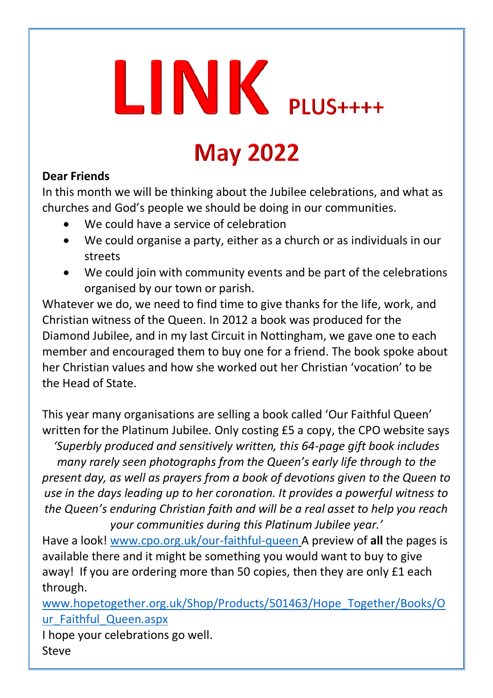# $LINK$  PLUS++++

## **May 2022**

#### **Dear Friends**

In this month we will be thinking about the Jubilee celebrations, and what as churches and God's people we should be doing in our communities.

- We could have a service of celebration
- We could organise a party, either as a church or as individuals in our streets
- We could join with community events and be part of the celebrations organised by our town or parish.

Whatever we do, we need to find time to give thanks for the life, work, and Christian witness of the Queen. In 2012 a book was produced for the Diamond Jubilee, and in my last Circuit in Nottingham, we gave one to each member and encouraged them to buy one for a friend. The book spoke about her Christian values and how she worked out her Christian 'vocation' to be the Head of State.

This year many organisations are selling a book called 'Our Faithful Queen' written for the Platinum Jubilee. Only costing £5 a copy, the CPO website says *'Superbly produced and sensitively written, this 64-page gift book includes many rarely seen photographs from the Queen's early life through to the present day, as well as prayers from a book of devotions given to the Queen to use in the days leading up to her coronation. It provides a powerful witness to the Queen's enduring Christian faith and will be a real asset to help you reach your communities during this Platinum Jubilee year.'*

Have a look! [www.cpo.org.uk/our-faithful-queen](http://www.cpo.org.uk/our-faithful-queen) A preview of **all** the pages is available there and it might be something you would want to buy to give away! If you are ordering more than 50 copies, then they are only £1 each through.

[www.hopetogether.org.uk/Shop/Products/501463/Hope\\_Together/Books/O](http://www.hopetogether.org.uk/Shop/Products/501463/Hope_Together/Books/Our_Faithful_Queen.aspx) [ur\\_Faithful\\_Queen.aspx](http://www.hopetogether.org.uk/Shop/Products/501463/Hope_Together/Books/Our_Faithful_Queen.aspx)

I hope your celebrations go well. Steve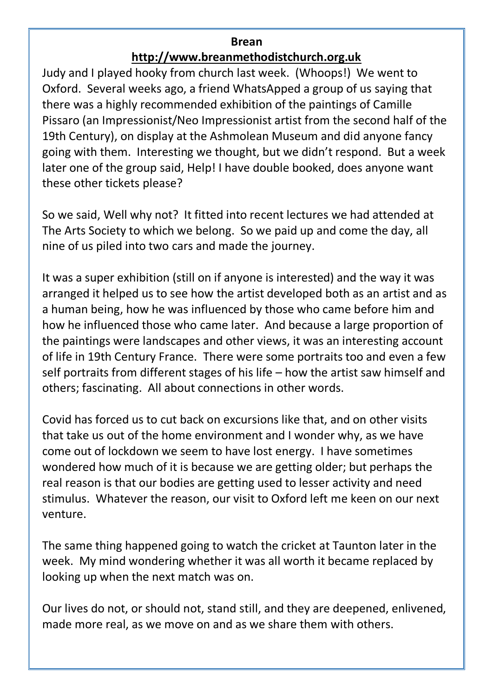#### **Brean**

#### **[http://www.breanmethodistchurch.org.uk](http://www.breanmethodistchurch.org.uk/)**

Judy and I played hooky from church last week. (Whoops!) We went to Oxford. Several weeks ago, a friend WhatsApped a group of us saying that there was a highly recommended exhibition of the paintings of Camille Pissaro (an Impressionist/Neo Impressionist artist from the second half of the 19th Century), on display at the Ashmolean Museum and did anyone fancy going with them. Interesting we thought, but we didn't respond. But a week later one of the group said, Help! I have double booked, does anyone want these other tickets please?

So we said, Well why not? It fitted into recent lectures we had attended at The Arts Society to which we belong. So we paid up and come the day, all nine of us piled into two cars and made the journey.

It was a super exhibition (still on if anyone is interested) and the way it was arranged it helped us to see how the artist developed both as an artist and as a human being, how he was influenced by those who came before him and how he influenced those who came later. And because a large proportion of the paintings were landscapes and other views, it was an interesting account of life in 19th Century France. There were some portraits too and even a few self portraits from different stages of his life – how the artist saw himself and others; fascinating. All about connections in other words.

Covid has forced us to cut back on excursions like that, and on other visits that take us out of the home environment and I wonder why, as we have come out of lockdown we seem to have lost energy. I have sometimes wondered how much of it is because we are getting older; but perhaps the real reason is that our bodies are getting used to lesser activity and need stimulus. Whatever the reason, our visit to Oxford left me keen on our next venture.

The same thing happened going to watch the cricket at Taunton later in the week. My mind wondering whether it was all worth it became replaced by looking up when the next match was on.

Our lives do not, or should not, stand still, and they are deepened, enlivened, made more real, as we move on and as we share them with others.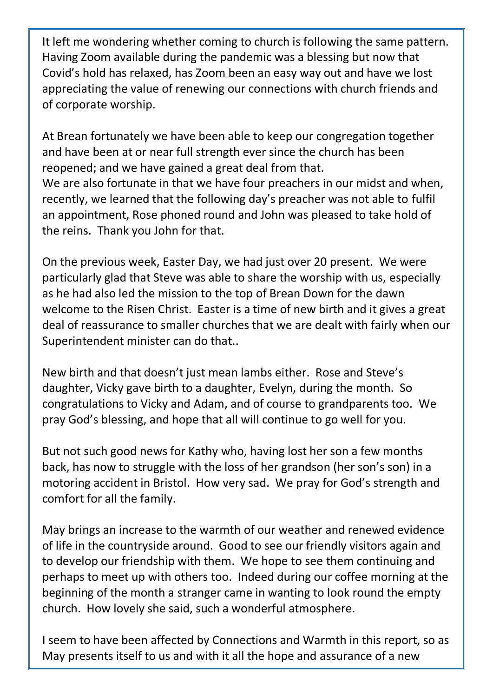It left me wondering whether coming to church is following the same pattern. Having Zoom available during the pandemic was a blessing but now that Covid's hold has relaxed, has Zoom been an easy way out and have we lost appreciating the value of renewing our connections with church friends and of corporate worship.

At Brean fortunately we have been able to keep our congregation together and have been at or near full strength ever since the church has been reopened; and we have gained a great deal from that. We are also fortunate in that we have four preachers in our midst and when, recently, we learned that the following day's preacher was not able to fulfil an appointment, Rose phoned round and John was pleased to take hold of the reins. Thank you John for that.

On the previous week, Easter Day, we had just over 20 present. We were particularly glad that Steve was able to share the worship with us, especially as he had also led the mission to the top of Brean Down for the dawn welcome to the Risen Christ. Easter is a time of new birth and it gives a great deal of reassurance to smaller churches that we are dealt with fairly when our Superintendent minister can do that..

New birth and that doesn't just mean lambs either. Rose and Steve's daughter, Vicky gave birth to a daughter, Evelyn, during the month. So congratulations to Vicky and Adam, and of course to grandparents too. We pray God's blessing, and hope that all will continue to go well for you.

But not such good news for Kathy who, having lost her son a few months back, has now to struggle with the loss of her grandson (her son's son) in a motoring accident in Bristol. How very sad. We pray for God's strength and comfort for all the family.

May brings an increase to the warmth of our weather and renewed evidence of life in the countryside around. Good to see our friendly visitors again and to develop our friendship with them. We hope to see them continuing and perhaps to meet up with others too. Indeed during our coffee morning at the beginning of the month a stranger came in wanting to look round the empty church. How lovely she said, such a wonderful atmosphere.

I seem to have been affected by Connections and Warmth in this report, so as May presents itself to us and with it all the hope and assurance of a new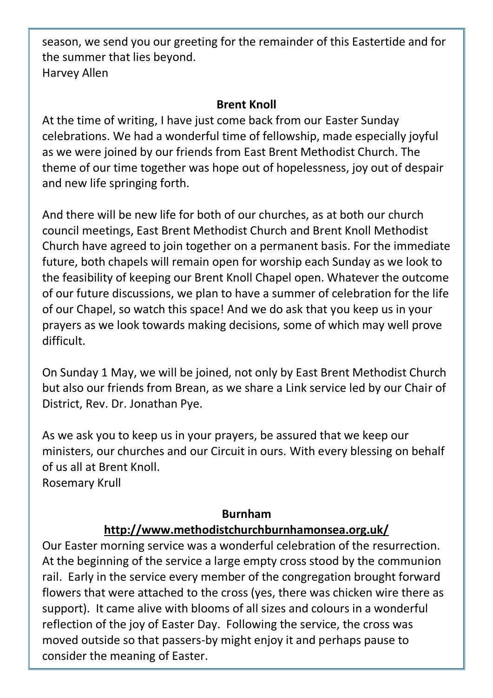season, we send you our greeting for the remainder of this Eastertide and for the summer that lies beyond. Harvey Allen

#### **Brent Knoll**

At the time of writing, I have just come back from our Easter Sunday celebrations. We had a wonderful time of fellowship, made especially joyful as we were joined by our friends from East Brent Methodist Church. The theme of our time together was hope out of hopelessness, joy out of despair and new life springing forth.

And there will be new life for both of our churches, as at both our church council meetings, East Brent Methodist Church and Brent Knoll Methodist Church have agreed to join together on a permanent basis. For the immediate future, both chapels will remain open for worship each Sunday as we look to the feasibility of keeping our Brent Knoll Chapel open. Whatever the outcome of our future discussions, we plan to have a summer of celebration for the life of our Chapel, so watch this space! And we do ask that you keep us in your prayers as we look towards making decisions, some of which may well prove difficult.

On Sunday 1 May, we will be joined, not only by East Brent Methodist Church but also our friends from Brean, as we share a Link service led by our Chair of District, Rev. Dr. Jonathan Pye.

As we ask you to keep us in your prayers, be assured that we keep our ministers, our churches and our Circuit in ours. With every blessing on behalf of us all at Brent Knoll.

Rosemary Krull

#### **Burnham <http://www.methodistchurchburnhamonsea.org.uk/>**

Our Easter morning service was a wonderful celebration of the resurrection. At the beginning of the service a large empty cross stood by the communion rail. Early in the service every member of the congregation brought forward flowers that were attached to the cross (yes, there was chicken wire there as support). It came alive with blooms of all sizes and colours in a wonderful reflection of the joy of Easter Day. Following the service, the cross was moved outside so that passers-by might enjoy it and perhaps pause to consider the meaning of Easter.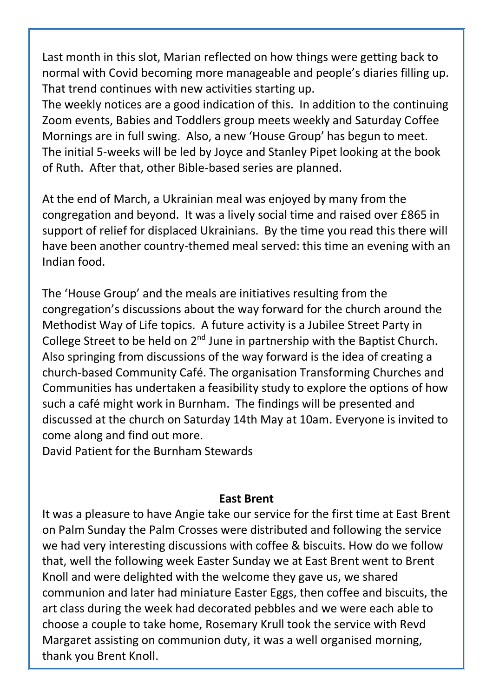Last month in this slot, Marian reflected on how things were getting back to normal with Covid becoming more manageable and people's diaries filling up. That trend continues with new activities starting up.

The weekly notices are a good indication of this. In addition to the continuing Zoom events, Babies and Toddlers group meets weekly and Saturday Coffee Mornings are in full swing. Also, a new 'House Group' has begun to meet. The initial 5-weeks will be led by Joyce and Stanley Pipet looking at the book of Ruth. After that, other Bible-based series are planned.

At the end of March, a Ukrainian meal was enjoyed by many from the congregation and beyond. It was a lively social time and raised over £865 in support of relief for displaced Ukrainians. By the time you read this there will have been another country-themed meal served: this time an evening with an Indian food.

The 'House Group' and the meals are initiatives resulting from the congregation's discussions about the way forward for the church around the Methodist Way of Life topics. A future activity is a Jubilee Street Party in College Street to be held on  $2^{nd}$  June in partnership with the Baptist Church. Also springing from discussions of the way forward is the idea of creating a church-based Community Café. The organisation Transforming Churches and Communities has undertaken a feasibility study to explore the options of how such a café might work in Burnham. The findings will be presented and discussed at the church on Saturday 14th May at 10am. Everyone is invited to come along and find out more.

David Patient for the Burnham Stewards

#### **East Brent**

It was a pleasure to have Angie take our service for the first time at East Brent on Palm Sunday the Palm Crosses were distributed and following the service we had very interesting discussions with coffee & biscuits. How do we follow that, well the following week Easter Sunday we at East Brent went to Brent Knoll and were delighted with the welcome they gave us, we shared communion and later had miniature Easter Eggs, then coffee and biscuits, the art class during the week had decorated pebbles and we were each able to choose a couple to take home, Rosemary Krull took the service with Revd Margaret assisting on communion duty, it was a well organised morning, thank you Brent Knoll.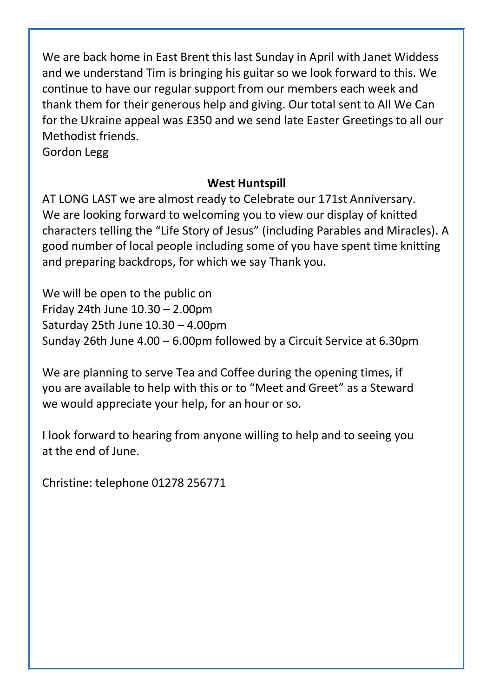We are back home in East Brent this last Sunday in April with Janet Widdess and we understand Tim is bringing his guitar so we look forward to this. We continue to have our regular support from our members each week and thank them for their generous help and giving. Our total sent to All We Can for the Ukraine appeal was £350 and we send late Easter Greetings to all our Methodist friends.

Gordon Legg

#### **West Huntspill**

AT LONG LAST we are almost ready to Celebrate our 171st Anniversary. We are looking forward to welcoming you to view our display of knitted characters telling the "Life Story of Jesus" (including Parables and Miracles). A good number of local people including some of you have spent time knitting and preparing backdrops, for which we say Thank you.

We will be open to the public on Friday 24th June 10.30 – 2.00pm Saturday 25th June 10.30 – 4.00pm Sunday 26th June 4.00 – 6.00pm followed by a Circuit Service at 6.30pm

We are planning to serve Tea and Coffee during the opening times, if you are available to help with this or to "Meet and Greet" as a Steward we would appreciate your help, for an hour or so.

I look forward to hearing from anyone willing to help and to seeing you at the end of June.

Christine: telephone 01278 256771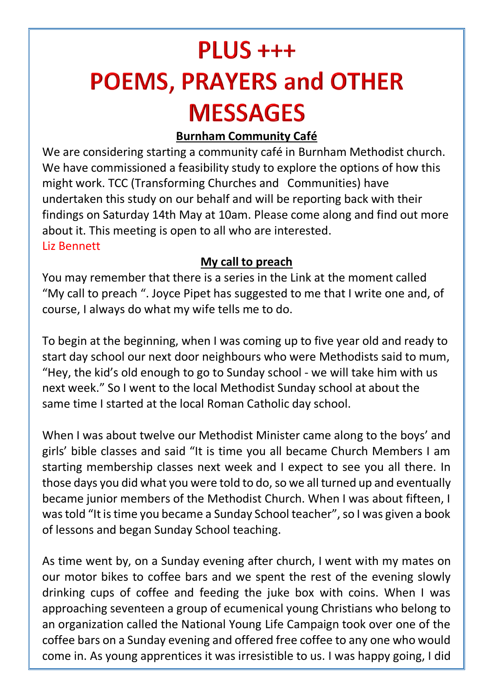## $PLUS +++$ **POEMS, PRAYERS and OTHER MESSAGES**

#### **Burnham Community Café**

We are considering starting a community café in Burnham Methodist church. We have commissioned a feasibility study to explore the options of how this might work. TCC (Transforming Churches and Communities) have undertaken this study on our behalf and will be reporting back with their findings on Saturday 14th May at 10am. Please come along and find out more about it. This meeting is open to all who are interested. Liz Bennett

#### **My call to preach**

You may remember that there is a series in the Link at the moment called "My call to preach ". Joyce Pipet has suggested to me that I write one and, of course, I always do what my wife tells me to do.

To begin at the beginning, when I was coming up to five year old and ready to start day school our next door neighbours who were Methodists said to mum, "Hey, the kid's old enough to go to Sunday school - we will take him with us next week." So I went to the local Methodist Sunday school at about the same time I started at the local Roman Catholic day school.

When I was about twelve our Methodist Minister came along to the boys' and girls' bible classes and said "It is time you all became Church Members I am starting membership classes next week and I expect to see you all there. In those days you did what you were told to do, so we all turned up and eventually became iunior members of the Methodist Church. When I was about fifteen, I was told "It is time you became a Sunday School teacher", so I was given a book of lessons and began Sunday School teaching.

As time went by, on a Sunday evening after church, I went with my mates on our motor bikes to coffee bars and we spent the rest of the evening slowly drinking cups of coffee and feeding the juke box with coins. When I was approaching seventeen a group of ecumenical young Christians who belong to an organization called the National Young Life Campaign took over one of the coffee bars on a Sunday evening and offered free coffee to any one who would come in. As young apprentices it was irresistible to us. I was happy going, I did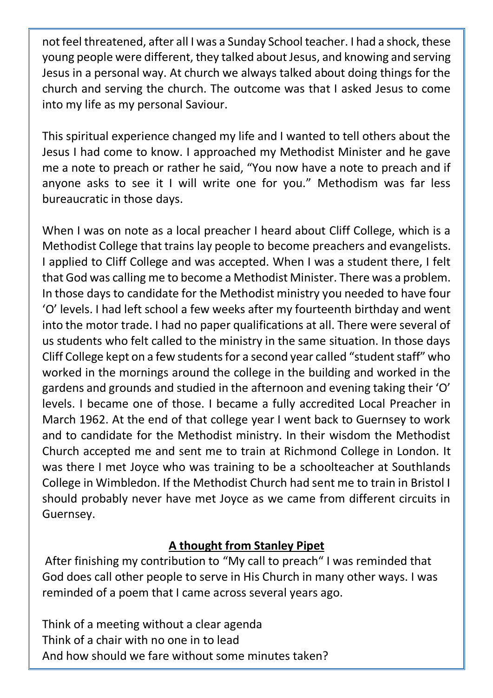not feel threatened, after all I was a Sunday School teacher. I had a shock, these young people were different, they talked about Jesus, and knowing and serving Jesus in a personal way. At church we always talked about doing things for the church and serving the church. The outcome was that I asked Jesus to come into my life as my personal Saviour.

This spiritual experience changed my life and I wanted to tell others about the Jesus I had come to know. I approached my Methodist Minister and he gave me a note to preach or rather he said, "You now have a note to preach and if anyone asks to see it I will write one for you." Methodism was far less bureaucratic in those days.

When I was on note as a local preacher I heard about Cliff College, which is a Methodist College that trains lay people to become preachers and evangelists. I applied to Cliff College and was accepted. When I was a student there, I felt that God was calling me to become a Methodist Minister. There was a problem. In those days to candidate for the Methodist ministry you needed to have four 'O' levels. I had left school a few weeks after my fourteenth birthday and went into the motor trade. I had no paper qualifications at all. There were several of us students who felt called to the ministry in the same situation. In those days Cliff College kept on a few students for a second year called "student staff" who worked in the mornings around the college in the building and worked in the gardens and grounds and studied in the afternoon and evening taking their 'O' levels. I became one of those. I became a fully accredited Local Preacher in March 1962. At the end of that college year I went back to Guernsey to work and to candidate for the Methodist ministry. In their wisdom the Methodist Church accepted me and sent me to train at Richmond College in London. It was there I met Joyce who was training to be a schoolteacher at Southlands College in Wimbledon. If the Methodist Church had sent me to train in Bristol I should probably never have met Joyce as we came from different circuits in Guernsey.

#### **A thought from Stanley Pipet**

After finishing my contribution to "My call to preach" I was reminded that God does call other people to serve in His Church in many other ways. I was reminded of a poem that I came across several years ago.

Think of a meeting without a clear agenda Think of a chair with no one in to lead And how should we fare without some minutes taken?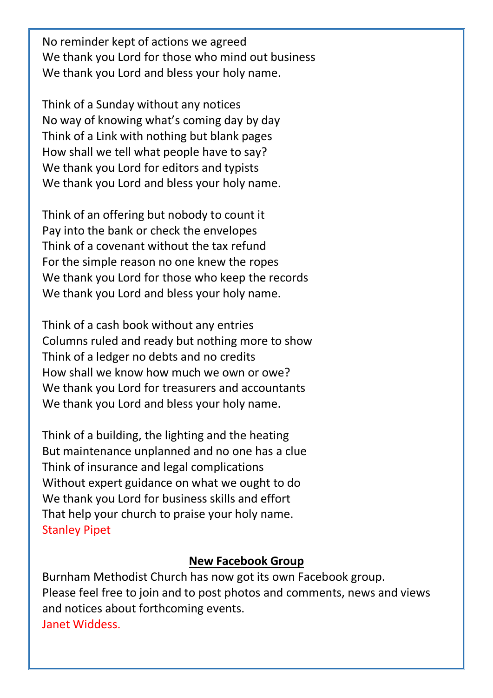No reminder kept of actions we agreed We thank you Lord for those who mind out business We thank you Lord and bless your holy name.

Think of a Sunday without any notices No way of knowing what's coming day by day Think of a Link with nothing but blank pages How shall we tell what people have to say? We thank you Lord for editors and typists We thank you Lord and bless your holy name.

Think of an offering but nobody to count it Pay into the bank or check the envelopes Think of a covenant without the tax refund For the simple reason no one knew the ropes We thank you Lord for those who keep the records We thank you Lord and bless your holy name.

Think of a cash book without any entries Columns ruled and ready but nothing more to show Think of a ledger no debts and no credits How shall we know how much we own or owe? We thank you Lord for treasurers and accountants We thank you Lord and bless your holy name.

Think of a building, the lighting and the heating But maintenance unplanned and no one has a clue Think of insurance and legal complications Without expert guidance on what we ought to do We thank you Lord for business skills and effort That help your church to praise your holy name. Stanley Pipet

#### **New Facebook Group**

Burnham Methodist Church has now got its own Facebook group. Please feel free to join and to post photos and comments, news and views and notices about forthcoming events. Janet Widdess.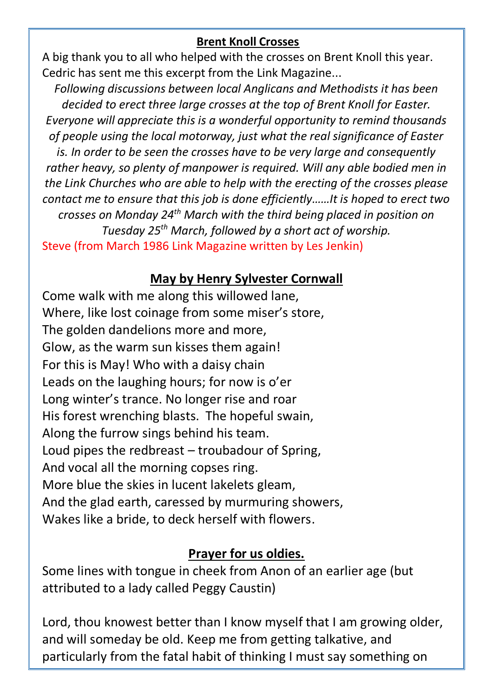#### **Brent Knoll Crosses**

A big thank you to all who helped with the crosses on Brent Knoll this year. Cedric has sent me this excerpt from the Link Magazine...

*Following discussions between local Anglicans and Methodists it has been decided to erect three large crosses at the top of Brent Knoll for Easter. Everyone will appreciate this is a wonderful opportunity to remind thousands of people using the local motorway, just what the real significance of Easter is. In order to be seen the crosses have to be very large and consequently rather heavy, so plenty of manpower is required. Will any able bodied men in the Link Churches who are able to help with the erecting of the crosses please contact me to ensure that this job is done efficiently……It is hoped to erect two crosses on Monday 24th March with the third being placed in position on Tuesday 25th March, followed by a short act of worship.* Steve (from March 1986 Link Magazine written by Les Jenkin)

#### **May by Henry Sylvester Cornwall**

Come walk with me along this willowed lane, Where, like lost coinage from some miser's store, The golden dandelions more and more, Glow, as the warm sun kisses them again! For this is May! Who with a daisy chain Leads on the laughing hours; for now is o'er Long winter's trance. No longer rise and roar His forest wrenching blasts. The hopeful swain, Along the furrow sings behind his team. Loud pipes the redbreast – troubadour of Spring, And vocal all the morning copses ring. More blue the skies in lucent lakelets gleam, And the glad earth, caressed by murmuring showers, Wakes like a bride, to deck herself with flowers.

#### **Prayer for us oldies.**

Some lines with tongue in cheek from Anon of an earlier age (but attributed to a lady called Peggy Caustin)

Lord, thou knowest better than I know myself that I am growing older, and will someday be old. Keep me from getting talkative, and particularly from the fatal habit of thinking I must say something on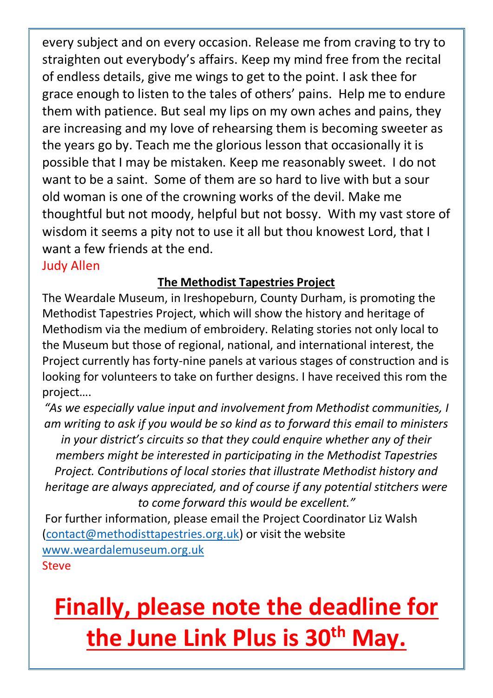every subject and on every occasion. Release me from craving to try to straighten out everybody's affairs. Keep my mind free from the recital of endless details, give me wings to get to the point. I ask thee for grace enough to listen to the tales of others' pains. Help me to endure them with patience. But seal my lips on my own aches and pains, they are increasing and my love of rehearsing them is becoming sweeter as the years go by. Teach me the glorious lesson that occasionally it is possible that I may be mistaken. Keep me reasonably sweet. I do not want to be a saint. Some of them are so hard to live with but a sour old woman is one of the crowning works of the devil. Make me thoughtful but not moody, helpful but not bossy. With my vast store of wisdom it seems a pity not to use it all but thou knowest Lord, that I want a few friends at the end.

Judy Allen

#### **The Methodist Tapestries Project**

The Weardale Museum, in Ireshopeburn, County Durham, is promoting the Methodist Tapestries Project, which will show the history and heritage of Methodism via the medium of embroidery. Relating stories not only local to the Museum but those of regional, national, and international interest, the Project currently has forty-nine panels at various stages of construction and is looking for volunteers to take on further designs. I have received this rom the project….

*"As we especially value input and involvement from Methodist communities, I am writing to ask if you would be so kind as to forward this email to ministers in your district's circuits so that they could enquire whether any of their members might be interested in participating in the Methodist Tapestries Project. Contributions of local stories that illustrate Methodist history and heritage are always appreciated, and of course if any potential stitchers were to come forward this would be excellent."*

For further information, please email the Project Coordinator Liz Walsh [\(contact@methodisttapestries.org.uk\)](mailto:contact@methodisttapestries.org.uk) or visit the website [www.weardalemuseum.org.uk](http://www.weardalemuseum.org.uk/) Steve

## **Finally, please note the deadline for the June Link Plus is 30th May.**